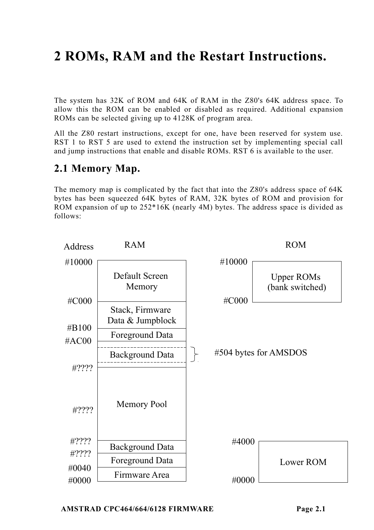# **2 ROMs, RAM and the Restart Instructions.**

The system has 32K of ROM and 64K of RAM in the Z80's 64K address space. To allow this the ROM can be enabled or disabled as required. Additional expansion ROMs can be selected giving up to 4128K of program area.

All the Z80 restart instructions, except for one, have been reserved for system use. RST 1 to RST 5 are used to extend the instruction set by implementing special call and jump instructions that enable and disable ROMs. RST 6 is available to the user.

# **2.1 Memory Map.**

The memory map is complicated by the fact that into the Z80's address space of 64K bytes has been squeezed 64K bytes of RAM, 32K bytes of ROM and provision for ROM expansion of up to 252\*16K (nearly 4M) bytes. The address space is divided as follows:

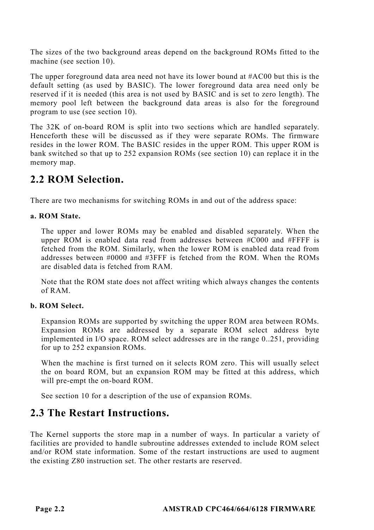The sizes of the two background areas depend on the background ROMs fitted to the machine (see section 10).

The upper foreground data area need not have its lower bound at #AC00 but this is the default setting (as used by BASIC). The lower foreground data area need only be reserved if it is needed (this area is not used by BASIC and is set to zero length). The memory pool left between the background data areas is also for the foreground program to use (see section 10).

The 32K of on-board ROM is split into two sections which are handled separately. Henceforth these will be discussed as if they were separate ROMs. The firmware resides in the lower ROM. The BASIC resides in the upper ROM. This upper ROM is bank switched so that up to 252 expansion ROMs (see section 10) can replace it in the memory map.

# **2.2 ROM Selection.**

There are two mechanisms for switching ROMs in and out of the address space:

### **a. ROM State.**

The upper and lower ROMs may be enabled and disabled separately. When the upper ROM is enabled data read from addresses between #C000 and #FFFF is fetched from the ROM. Similarly, when the lower ROM is enabled data read from addresses between #0000 and #3FFF is fetched from the ROM. When the ROMs are disabled data is fetched from RAM.

Note that the ROM state does not affect writing which always changes the contents of RAM.

### **b. ROM Select.**

Expansion ROMs are supported by switching the upper ROM area between ROMs. Expansion ROMs are addressed by a separate ROM select address byte implemented in I/O space. ROM select addresses are in the range 0..251, providing for up to 252 expansion ROMs.

When the machine is first turned on it selects ROM zero. This will usually select the on board ROM, but an expansion ROM may be fitted at this address, which will pre-empt the on-board ROM.

See section 10 for a description of the use of expansion ROMs.

# **2.3 The Restart Instructions.**

The Kernel supports the store map in a number of ways. In particular a variety of facilities are provided to handle subroutine addresses extended to include ROM select and/or ROM state information. Some of the restart instructions are used to augment the existing Z80 instruction set. The other restarts are reserved.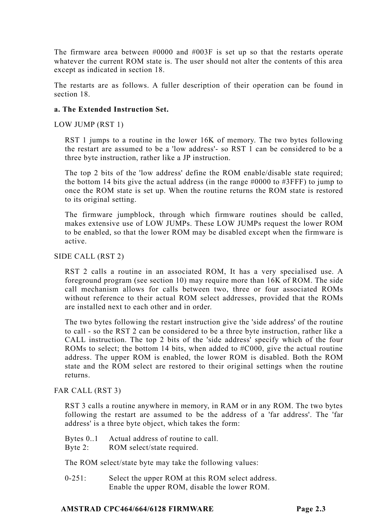The firmware area between #0000 and #003F is set up so that the restarts operate whatever the current ROM state is. The user should not alter the contents of this area except as indicated in section 18.

The restarts are as follows. A fuller description of their operation can be found in section 18.

#### **a. The Extended Instruction Set.**

LOW JUMP (RST 1)

RST 1 jumps to a routine in the lower 16K of memory. The two bytes following the restart are assumed to be a 'low address'- so RST 1 can be considered to be a three byte instruction, rather like a JP instruction.

The top 2 bits of the 'low address' define the ROM enable/disable state required; the bottom 14 bits give the actual address (in the range  $\#0000$  to  $\#3$ FFF) to jump to once the ROM state is set up. When the routine returns the ROM state is restored to its original setting.

The firmware jumpblock, through which firmware routines should be called, makes extensive use of LOW JUMPs. These LOW JUMPs request the lower ROM to be enabled, so that the lower ROM may be disabled except when the firmware is active.

SIDE CALL (RST 2)

RST 2 calls a routine in an associated ROM, It has a very specialised use. A foreground program (see section 10) may require more than 16K of ROM. The side call mechanism allows for calls between two, three or four associated ROMs without reference to their actual ROM select addresses, provided that the ROMs are installed next to each other and in order.

The two bytes following the restart instruction give the 'side address' of the routine to call - so the RST 2 can be considered to be a three byte instruction, rather like a CALL instruction. The top 2 bits of the 'side address' specify which of the four ROMs to select; the bottom 14 bits, when added to  $\#C000$ , give the actual routine address. The upper ROM is enabled, the lower ROM is disabled. Both the ROM state and the ROM select are restored to their original settings when the routine returns.

FAR CALL (RST 3)

RST 3 calls a routine anywhere in memory, in RAM or in any ROM. The two bytes following the restart are assumed to be the address of a 'far address'. The 'far address' is a three byte object, which takes the form:

- Bytes 0..1 Actual address of routine to call.
- Byte 2: ROM select/state required.

The ROM select/state byte may take the following values:

0-251: Select the upper ROM at this ROM select address. Enable the upper ROM, disable the lower ROM.

#### **AMSTRAD CPC464/664/6128 FIRMWARE Page 2.3**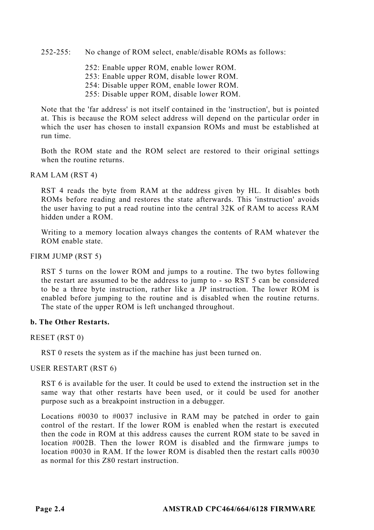252-255: No change of ROM select, enable/disable ROMs as follows:

252: Enable upper ROM, enable lower ROM. 253: Enable upper ROM, disable lower ROM.

254: Disable upper ROM, enable lower ROM.

255: Disable upper ROM, disable lower ROM.

Note that the 'far address' is not itself contained in the 'instruction', but is pointed at. This is because the ROM select address will depend on the particular order in which the user has chosen to install expansion ROMs and must be established at run time.

Both the ROM state and the ROM select are restored to their original settings when the routine returns.

#### RAM LAM (RST 4)

RST 4 reads the byte from RAM at the address given by HL. It disables both ROMs before reading and restores the state afterwards. This 'instruction' avoids the user having to put a read routine into the central 32K of RAM to access RAM hidden under a ROM.

Writing to a memory location always changes the contents of RAM whatever the ROM enable state.

#### FIRM JUMP (RST 5)

RST 5 turns on the lower ROM and jumps to a routine. The two bytes following the restart are assumed to be the address to jump to - so RST 5 can be considered to be a three byte instruction, rather like a JP instruction. The lower ROM is enabled before jumping to the routine and is disabled when the routine returns. The state of the upper ROM is left unchanged throughout.

#### **b. The Other Restarts.**

RESET (RST 0)

RST 0 resets the system as if the machine has just been turned on.

#### USER RESTART (RST 6)

RST 6 is available for the user. It could be used to extend the instruction set in the same way that other restarts have been used, or it could be used for another purpose such as a breakpoint instruction in a debugger.

Locations #0030 to #0037 inclusive in RAM may be patched in order to gain control of the restart. If the lower ROM is enabled when the restart is executed then the code in ROM at this address causes the current ROM state to be saved in location #002B. Then the lower ROM is disabled and the firmware jumps to location #0030 in RAM. If the lower ROM is disabled then the restart calls #0030 as normal for this Z80 restart instruction.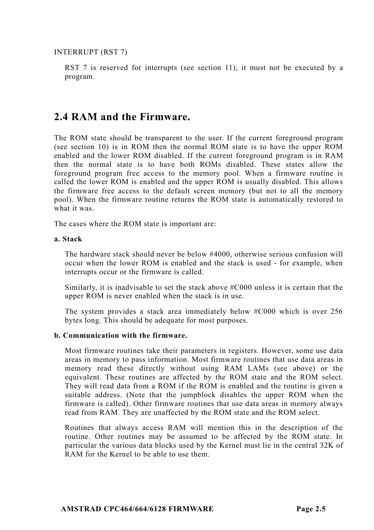INTERRUPT (RST 7)

RST 7 is reserved for interrupts (see section 11), it must not be executed by a program.

### **2.4 RAM and the Firmware.**

The ROM state should be transparent to the user. If the current foreground program (see section 10) is in ROM then the normal ROM state is to have the upper ROM enabled and the lower ROM disabled. If the current foreground program is in RAM then the normal state is to have both ROMs disabled. These states allow the foreground program free access to the memory pool. When a firmware routine is called the lower ROM is enabled and the upper ROM is usually disabled. This allows the firmware free access to the default screen memory (but not to all the memory pool). When the firmware routine returns the ROM state is automatically restored to what it was.

The cases where the ROM state is important are:

#### **a. Stack**

The hardware stack should never be below #4000, otherwise serious confusion will occur when the lower ROM is enabled and the stack is used - for example, when interrupts occur or the firmware is called.

Similarly, it is inadvisable to set the stack above #C000 unless it is certain that the upper ROM is never enabled when the stack is in use.

The system provides a stack area immediately below #C000 which is over 256 bytes long. This should be adequate for most purposes.

#### **b. Communication with the firmware.**

Most firmware routines take their parameters in registers. However, some use data areas in memory to pass information. Most firmware routines that use data areas in memory read these directly without using RAM LAMs (see above) or the equivalent. These routines are affected by the ROM state and the ROM select. They will read data from a ROM if the ROM is enabled and the routine is given a suitable address. (Note that the jumpblock disables the upper ROM when the firmware is called). Other firmware routines that use data areas in memory always read from RAM. They are unaffected by the ROM state and the ROM select.

Routines that always access RAM will mention this in the description of the routine. Other routines may be assumed to be affected by the ROM state. In particular the various data blocks used by the Kernel must lie in the central 32K of RAM for the Kernel to be able to use them.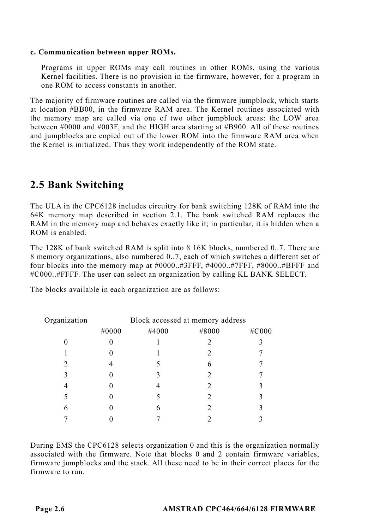#### **c. Communication between upper ROMs.**

Programs in upper ROMs may call routines in other ROMs, using the various Kernel facilities. There is no provision in the firmware, however, for a program in one ROM to access constants in another.

The majority of firmware routines are called via the firmware jumpblock, which starts at location #BB00, in the firmware RAM area. The Kernel routines associated with the memory map are called via one of two other jumpblock areas: the LOW area between #0000 and #003F, and the HIGH area starting at #B900. All of these routines and jumpblocks are copied out of the lower ROM into the firmware RAM area when the Kernel is initialized. Thus they work independently of the ROM state.

# **2.5 Bank Switching**

The ULA in the CPC6128 includes circuitry for bank switching 128K of RAM into the 64K memory map described in section 2.1. The bank switched RAM replaces the RAM in the memory map and behaves exactly like it; in particular, it is hidden when a ROM is enabled.

The 128K of bank switched RAM is split into 8 16K blocks, numbered 0..7. There are 8 memory organizations, also numbered 0..7, each of which switches a different set of four blocks into the memory map at #0000..#3FFF, #4000..#7FFF, #8000..#BFFF and #C000..#FFFF. The user can select an organization by calling KL BANK SELECT.

The blocks available in each organization are as follows:

| Organization | Block accessed at memory address |       |       |       |
|--------------|----------------------------------|-------|-------|-------|
|              | #0000                            | #4000 | #8000 | #C000 |
|              |                                  |       |       |       |
|              |                                  |       |       |       |
|              |                                  |       |       |       |
| 3            |                                  |       |       |       |
|              |                                  |       |       |       |
|              |                                  |       |       |       |
| 6            |                                  |       |       |       |
|              |                                  |       |       |       |

During EMS the CPC6128 selects organization 0 and this is the organization normally associated with the firmware. Note that blocks 0 and 2 contain firmware variables, firmware jumpblocks and the stack. All these need to be in their correct places for the firmware to run.